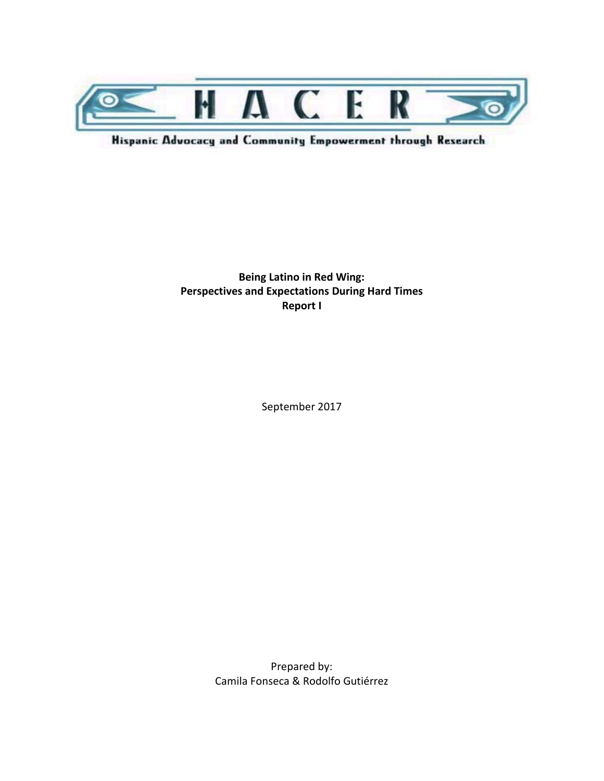

Hispanic Advocacy and Community Empowerment through Research

**Being Latino in Red Wing: Perspectives and Expectations During Hard Times Report I**

September 2017

Prepared by: Camila Fonseca & Rodolfo Gutiérrez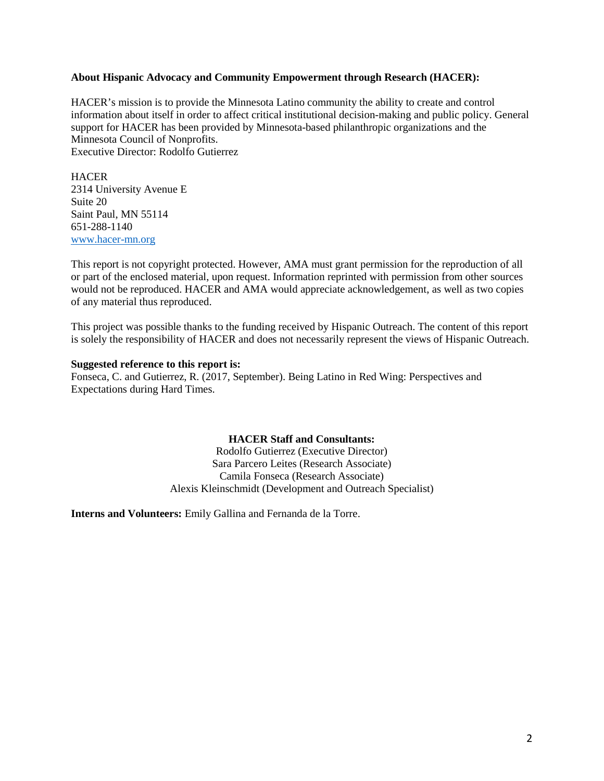#### **About Hispanic Advocacy and Community Empowerment through Research (HACER):**

HACER's mission is to provide the Minnesota Latino community the ability to create and control information about itself in order to affect critical institutional decision-making and public policy. General support for HACER has been provided by Minnesota-based philanthropic organizations and the Minnesota Council of Nonprofits. Executive Director: Rodolfo Gutierrez

**HACER** 2314 University Avenue E Suite 20 Saint Paul, MN 55114 651-288-1140 [www.hacer-mn.org](http://www.hacer-mn.org/)

This report is not copyright protected. However, AMA must grant permission for the reproduction of all or part of the enclosed material, upon request. Information reprinted with permission from other sources would not be reproduced. HACER and AMA would appreciate acknowledgement, as well as two copies of any material thus reproduced.

This project was possible thanks to the funding received by Hispanic Outreach. The content of this report is solely the responsibility of HACER and does not necessarily represent the views of Hispanic Outreach.

#### **Suggested reference to this report is:**

Fonseca, C. and Gutierrez, R. (2017, September). Being Latino in Red Wing: Perspectives and Expectations during Hard Times.

#### **HACER Staff and Consultants:**

Rodolfo Gutierrez (Executive Director) Sara Parcero Leites (Research Associate) Camila Fonseca (Research Associate) Alexis Kleinschmidt (Development and Outreach Specialist)

**Interns and Volunteers:** Emily Gallina and Fernanda de la Torre.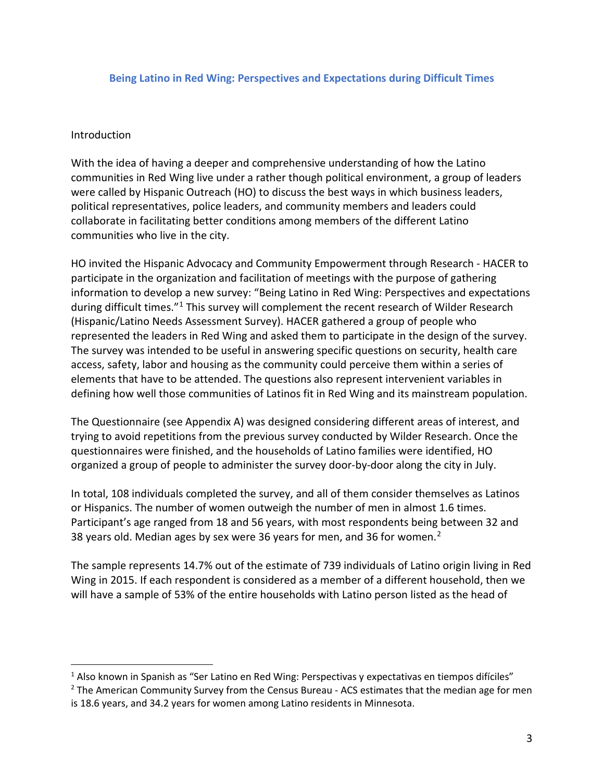#### **Being Latino in Red Wing: Perspectives and Expectations during Difficult Times**

#### **Introduction**

 $\overline{a}$ 

With the idea of having a deeper and comprehensive understanding of how the Latino communities in Red Wing live under a rather though political environment, a group of leaders were called by Hispanic Outreach (HO) to discuss the best ways in which business leaders, political representatives, police leaders, and community members and leaders could collaborate in facilitating better conditions among members of the different Latino communities who live in the city.

HO invited the Hispanic Advocacy and Community Empowerment through Research - HACER to participate in the organization and facilitation of meetings with the purpose of gathering information to develop a new survey: "Being Latino in Red Wing: Perspectives and expectations during difficult times."<sup>[1](#page-2-0)</sup> This survey will complement the recent research of Wilder Research (Hispanic/Latino Needs Assessment Survey). HACER gathered a group of people who represented the leaders in Red Wing and asked them to participate in the design of the survey. The survey was intended to be useful in answering specific questions on security, health care access, safety, labor and housing as the community could perceive them within a series of elements that have to be attended. The questions also represent intervenient variables in defining how well those communities of Latinos fit in Red Wing and its mainstream population.

The Questionnaire (see Appendix A) was designed considering different areas of interest, and trying to avoid repetitions from the previous survey conducted by Wilder Research. Once the questionnaires were finished, and the households of Latino families were identified, HO organized a group of people to administer the survey door-by-door along the city in July.

In total, 108 individuals completed the survey, and all of them consider themselves as Latinos or Hispanics. The number of women outweigh the number of men in almost 1.6 times. Participant's age ranged from 18 and 56 years, with most respondents being between 32 and 38 years old. Median ages by sex were 36 years for men, and 36 for women.[2](#page-2-1)

The sample represents 14.7% out of the estimate of 739 individuals of Latino origin living in Red Wing in 2015. If each respondent is considered as a member of a different household, then we will have a sample of 53% of the entire households with Latino person listed as the head of

<span id="page-2-0"></span><sup>&</sup>lt;sup>1</sup> Also known in Spanish as "Ser Latino en Red Wing: Perspectivas y expectativas en tiempos difíciles"

<span id="page-2-1"></span> $<sup>2</sup>$  The American Community Survey from the Census Bureau - ACS estimates that the median age for men</sup> is 18.6 years, and 34.2 years for women among Latino residents in Minnesota.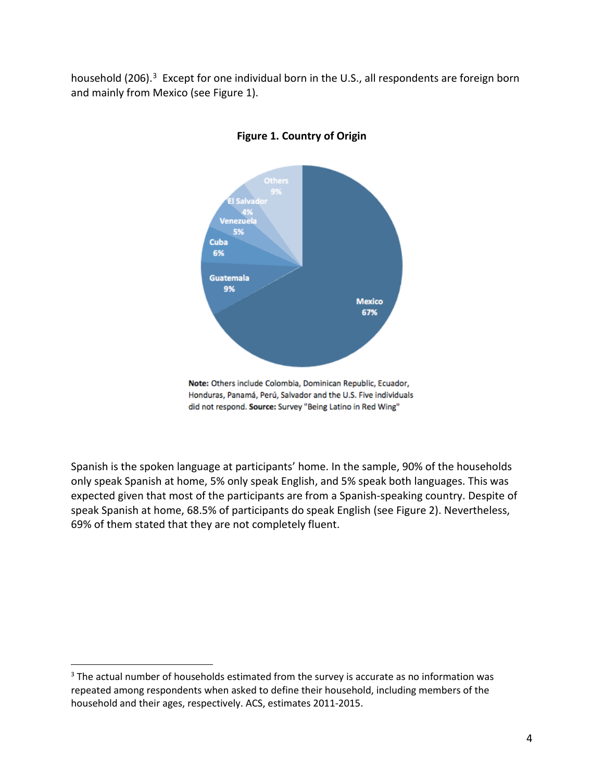household (206).<sup>[3](#page-3-0)</sup> Except for one individual born in the U.S., all respondents are foreign born and mainly from Mexico (see Figure 1).



# **Figure 1. Country of Origin**

Note: Others include Colombia, Dominican Republic, Ecuador, Honduras, Panamá, Perú, Salvador and the U.S. Five individuals did not respond. Source: Survey "Being Latino in Red Wing"

Spanish is the spoken language at participants' home. In the sample, 90% of the households only speak Spanish at home, 5% only speak English, and 5% speak both languages. This was expected given that most of the participants are from a Spanish-speaking country. Despite of speak Spanish at home, 68.5% of participants do speak English (see Figure 2). Nevertheless, 69% of them stated that they are not completely fluent.

 $\overline{a}$ 

<span id="page-3-0"></span><sup>&</sup>lt;sup>3</sup> The actual number of households estimated from the survey is accurate as no information was repeated among respondents when asked to define their household, including members of the household and their ages, respectively. ACS, estimates 2011-2015.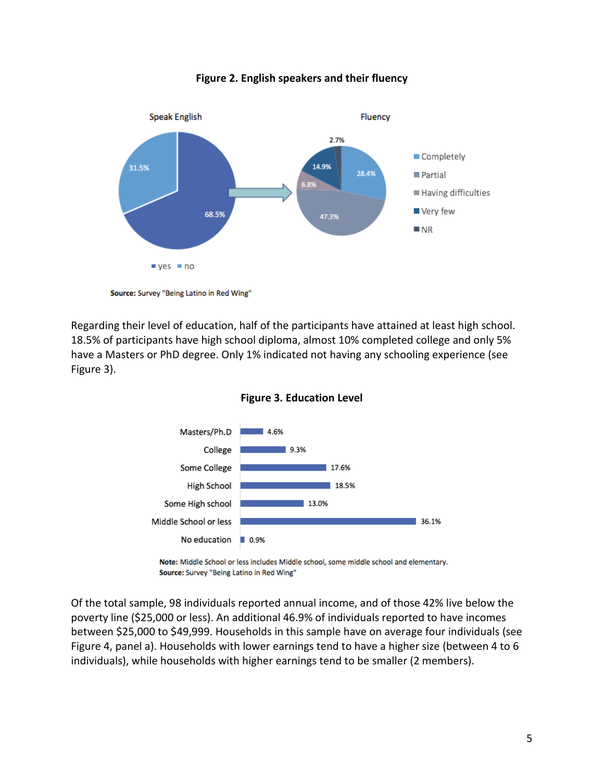

**Figure 2. English speakers and their fluency**

Source: Survey "Being Latino in Red Wing"

Regarding their level of education, half of the participants have attained at least high school. 18.5% of participants have high school diploma, almost 10% completed college and only 5% have a Masters or PhD degree. Only 1% indicated not having any schooling experience (see Figure 3).



**Figure 3. Education Level**

Note: Middle School or less includes Middle school, some middle school and elementary. Source: Survey "Being Latino in Red Wing"

Of the total sample, 98 individuals reported annual income, and of those 42% live below the poverty line (\$25,000 or less). An additional 46.9% of individuals reported to have incomes between \$25,000 to \$49,999. Households in this sample have on average four individuals (see Figure 4, panel a). Households with lower earnings tend to have a higher size (between 4 to 6 individuals), while households with higher earnings tend to be smaller (2 members).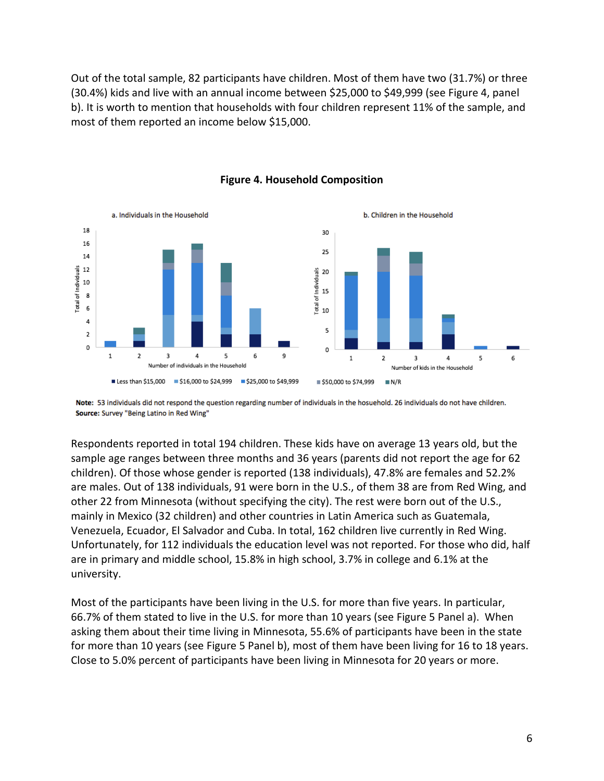Out of the total sample, 82 participants have children. Most of them have two (31.7%) or three (30.4%) kids and live with an annual income between \$25,000 to \$49,999 (see Figure 4, panel b). It is worth to mention that households with four children represent 11% of the sample, and most of them reported an income below \$15,000.





Note: 53 individuals did not respond the question regarding number of individuals in the hosuehold. 26 individuals do not have children. Source: Survey "Being Latino in Red Wing"

Respondents reported in total 194 children. These kids have on average 13 years old, but the sample age ranges between three months and 36 years (parents did not report the age for 62 children). Of those whose gender is reported (138 individuals), 47.8% are females and 52.2% are males. Out of 138 individuals, 91 were born in the U.S., of them 38 are from Red Wing, and other 22 from Minnesota (without specifying the city). The rest were born out of the U.S., mainly in Mexico (32 children) and other countries in Latin America such as Guatemala, Venezuela, Ecuador, El Salvador and Cuba. In total, 162 children live currently in Red Wing. Unfortunately, for 112 individuals the education level was not reported. For those who did, half are in primary and middle school, 15.8% in high school, 3.7% in college and 6.1% at the university.

Most of the participants have been living in the U.S. for more than five years. In particular, 66.7% of them stated to live in the U.S. for more than 10 years (see Figure 5 Panel a). When asking them about their time living in Minnesota, 55.6% of participants have been in the state for more than 10 years (see Figure 5 Panel b), most of them have been living for 16 to 18 years. Close to 5.0% percent of participants have been living in Minnesota for 20 years or more.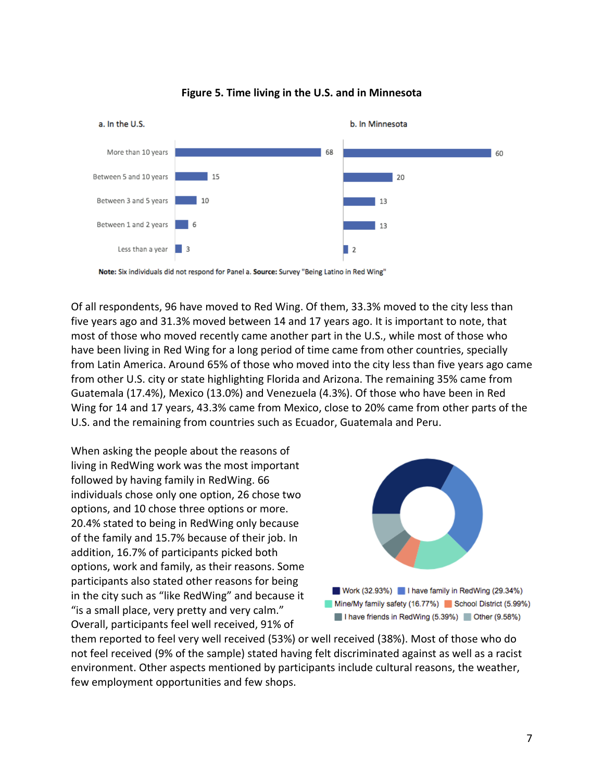

#### **Figure 5. Time living in the U.S. and in Minnesota**

Note: Six individuals did not respond for Panel a. Source: Survey "Being Latino in Red Wing"

Of all respondents, 96 have moved to Red Wing. Of them, 33.3% moved to the city less than five years ago and 31.3% moved between 14 and 17 years ago. It is important to note, that most of those who moved recently came another part in the U.S., while most of those who have been living in Red Wing for a long period of time came from other countries, specially from Latin America. Around 65% of those who moved into the city less than five years ago came from other U.S. city or state highlighting Florida and Arizona. The remaining 35% came from Guatemala (17.4%), Mexico (13.0%) and Venezuela (4.3%). Of those who have been in Red Wing for 14 and 17 years, 43.3% came from Mexico, close to 20% came from other parts of the U.S. and the remaining from countries such as Ecuador, Guatemala and Peru.

When asking the people about the reasons of living in RedWing work was the most important followed by having family in RedWing. 66 individuals chose only one option, 26 chose two options, and 10 chose three options or more. 20.4% stated to being in RedWing only because of the family and 15.7% because of their job. In addition, 16.7% of participants picked both options, work and family, as their reasons. Some participants also stated other reasons for being in the city such as "like RedWing" and because it "is a small place, very pretty and very calm." Overall, participants feel well received, 91% of



Work (32.93%) I have family in RedWing (29.34%) Mine/My family safety (16.77%) School District (5.99%) I have friends in RedWing (5.39%) Other (9.58%)

them reported to feel very well received (53%) or well received (38%). Most of those who do not feel received (9% of the sample) stated having felt discriminated against as well as a racist environment. Other aspects mentioned by participants include cultural reasons, the weather, few employment opportunities and few shops.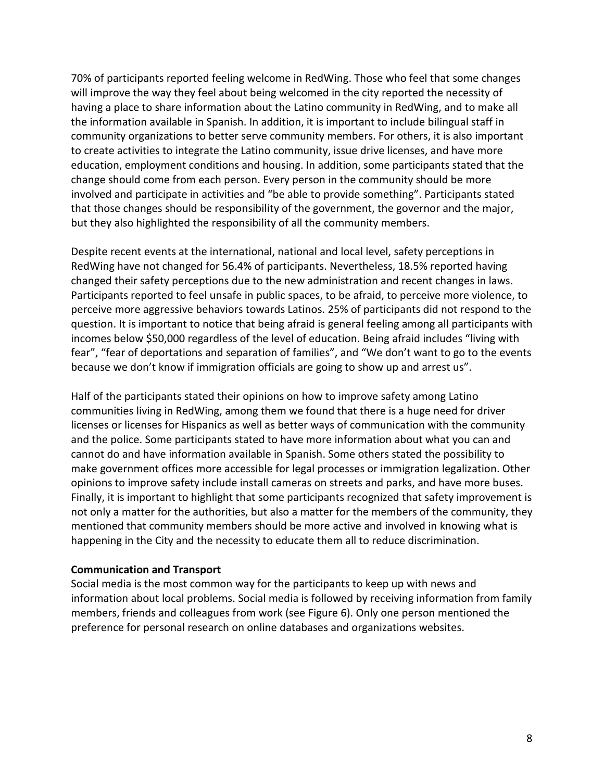70% of participants reported feeling welcome in RedWing. Those who feel that some changes will improve the way they feel about being welcomed in the city reported the necessity of having a place to share information about the Latino community in RedWing, and to make all the information available in Spanish. In addition, it is important to include bilingual staff in community organizations to better serve community members. For others, it is also important to create activities to integrate the Latino community, issue drive licenses, and have more education, employment conditions and housing. In addition, some participants stated that the change should come from each person. Every person in the community should be more involved and participate in activities and "be able to provide something". Participants stated that those changes should be responsibility of the government, the governor and the major, but they also highlighted the responsibility of all the community members.

Despite recent events at the international, national and local level, safety perceptions in RedWing have not changed for 56.4% of participants. Nevertheless, 18.5% reported having changed their safety perceptions due to the new administration and recent changes in laws. Participants reported to feel unsafe in public spaces, to be afraid, to perceive more violence, to perceive more aggressive behaviors towards Latinos. 25% of participants did not respond to the question. It is important to notice that being afraid is general feeling among all participants with incomes below \$50,000 regardless of the level of education. Being afraid includes "living with fear", "fear of deportations and separation of families", and "We don't want to go to the events because we don't know if immigration officials are going to show up and arrest us".

Half of the participants stated their opinions on how to improve safety among Latino communities living in RedWing, among them we found that there is a huge need for driver licenses or licenses for Hispanics as well as better ways of communication with the community and the police. Some participants stated to have more information about what you can and cannot do and have information available in Spanish. Some others stated the possibility to make government offices more accessible for legal processes or immigration legalization. Other opinions to improve safety include install cameras on streets and parks, and have more buses. Finally, it is important to highlight that some participants recognized that safety improvement is not only a matter for the authorities, but also a matter for the members of the community, they mentioned that community members should be more active and involved in knowing what is happening in the City and the necessity to educate them all to reduce discrimination.

### **Communication and Transport**

Social media is the most common way for the participants to keep up with news and information about local problems. Social media is followed by receiving information from family members, friends and colleagues from work (see Figure 6). Only one person mentioned the preference for personal research on online databases and organizations websites.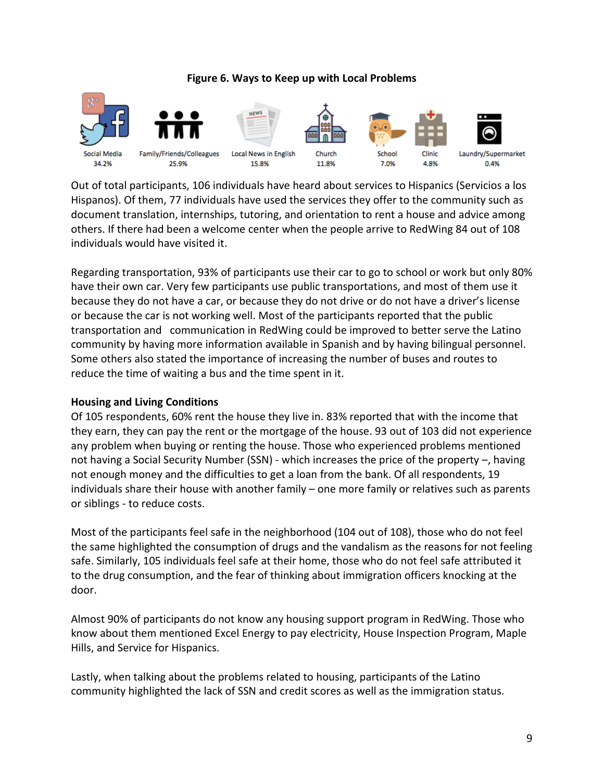### **Figure 6. Ways to Keep up with Local Problems**



Out of total participants, 106 individuals have heard about services to Hispanics (Servicios a los Hispanos). Of them, 77 individuals have used the services they offer to the community such as document translation, internships, tutoring, and orientation to rent a house and advice among others. If there had been a welcome center when the people arrive to RedWing 84 out of 108 individuals would have visited it.

Regarding transportation, 93% of participants use their car to go to school or work but only 80% have their own car. Very few participants use public transportations, and most of them use it because they do not have a car, or because they do not drive or do not have a driver's license or because the car is not working well. Most of the participants reported that the public transportation and communication in RedWing could be improved to better serve the Latino community by having more information available in Spanish and by having bilingual personnel. Some others also stated the importance of increasing the number of buses and routes to reduce the time of waiting a bus and the time spent in it.

### **Housing and Living Conditions**

Of 105 respondents, 60% rent the house they live in. 83% reported that with the income that they earn, they can pay the rent or the mortgage of the house. 93 out of 103 did not experience any problem when buying or renting the house. Those who experienced problems mentioned not having a Social Security Number (SSN) - which increases the price of the property –, having not enough money and the difficulties to get a loan from the bank. Of all respondents, 19 individuals share their house with another family – one more family or relatives such as parents or siblings - to reduce costs.

Most of the participants feel safe in the neighborhood (104 out of 108), those who do not feel the same highlighted the consumption of drugs and the vandalism as the reasons for not feeling safe. Similarly, 105 individuals feel safe at their home, those who do not feel safe attributed it to the drug consumption, and the fear of thinking about immigration officers knocking at the door.

Almost 90% of participants do not know any housing support program in RedWing. Those who know about them mentioned Excel Energy to pay electricity, House Inspection Program, Maple Hills, and Service for Hispanics.

Lastly, when talking about the problems related to housing, participants of the Latino community highlighted the lack of SSN and credit scores as well as the immigration status.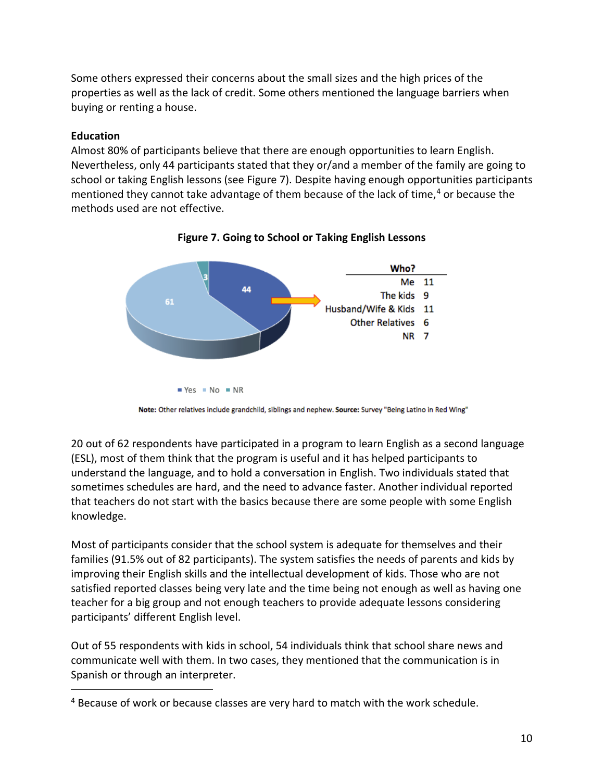Some others expressed their concerns about the small sizes and the high prices of the properties as well as the lack of credit. Some others mentioned the language barriers when buying or renting a house.

# **Education**

 $\overline{a}$ 

Almost 80% of participants believe that there are enough opportunities to learn English. Nevertheless, only 44 participants stated that they or/and a member of the family are going to school or taking English lessons (see Figure 7). Despite having enough opportunities participants mentioned they cannot take advantage of them because of the lack of time, [4](#page-9-0) or because the methods used are not effective.



**Figure 7. Going to School or Taking English Lessons**

20 out of 62 respondents have participated in a program to learn English as a second language (ESL), most of them think that the program is useful and it has helped participants to understand the language, and to hold a conversation in English. Two individuals stated that sometimes schedules are hard, and the need to advance faster. Another individual reported that teachers do not start with the basics because there are some people with some English knowledge.

Most of participants consider that the school system is adequate for themselves and their families (91.5% out of 82 participants). The system satisfies the needs of parents and kids by improving their English skills and the intellectual development of kids. Those who are not satisfied reported classes being very late and the time being not enough as well as having one teacher for a big group and not enough teachers to provide adequate lessons considering participants' different English level.

Out of 55 respondents with kids in school, 54 individuals think that school share news and communicate well with them. In two cases, they mentioned that the communication is in Spanish or through an interpreter.

Note: Other relatives include grandchild, siblings and nephew. Source: Survey "Being Latino in Red Wing"

<span id="page-9-0"></span><sup>&</sup>lt;sup>4</sup> Because of work or because classes are very hard to match with the work schedule.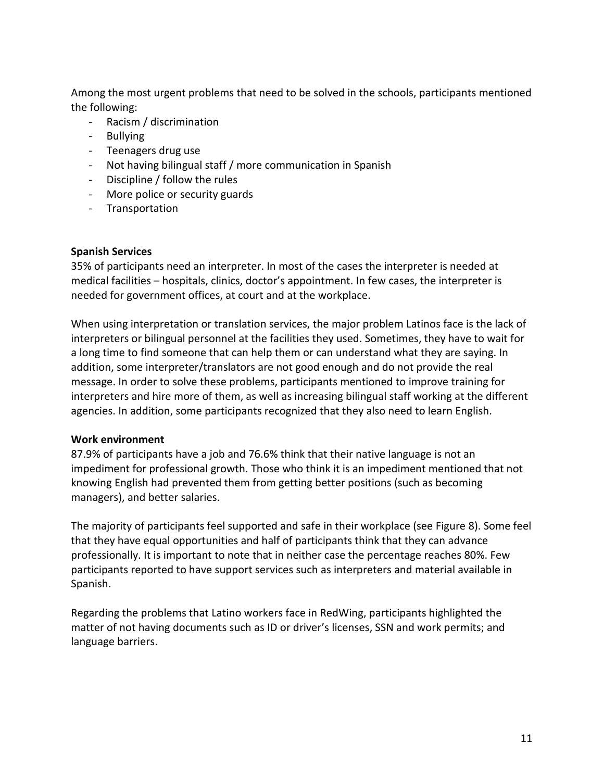Among the most urgent problems that need to be solved in the schools, participants mentioned the following:

- Racism / discrimination
- Bullying
- Teenagers drug use
- Not having bilingual staff / more communication in Spanish
- Discipline / follow the rules
- More police or security guards
- Transportation

### **Spanish Services**

35% of participants need an interpreter. In most of the cases the interpreter is needed at medical facilities – hospitals, clinics, doctor's appointment. In few cases, the interpreter is needed for government offices, at court and at the workplace.

When using interpretation or translation services, the major problem Latinos face is the lack of interpreters or bilingual personnel at the facilities they used. Sometimes, they have to wait for a long time to find someone that can help them or can understand what they are saying. In addition, some interpreter/translators are not good enough and do not provide the real message. In order to solve these problems, participants mentioned to improve training for interpreters and hire more of them, as well as increasing bilingual staff working at the different agencies. In addition, some participants recognized that they also need to learn English.

# **Work environment**

87.9% of participants have a job and 76.6% think that their native language is not an impediment for professional growth. Those who think it is an impediment mentioned that not knowing English had prevented them from getting better positions (such as becoming managers), and better salaries.

The majority of participants feel supported and safe in their workplace (see Figure 8). Some feel that they have equal opportunities and half of participants think that they can advance professionally. It is important to note that in neither case the percentage reaches 80%. Few participants reported to have support services such as interpreters and material available in Spanish.

Regarding the problems that Latino workers face in RedWing, participants highlighted the matter of not having documents such as ID or driver's licenses, SSN and work permits; and language barriers.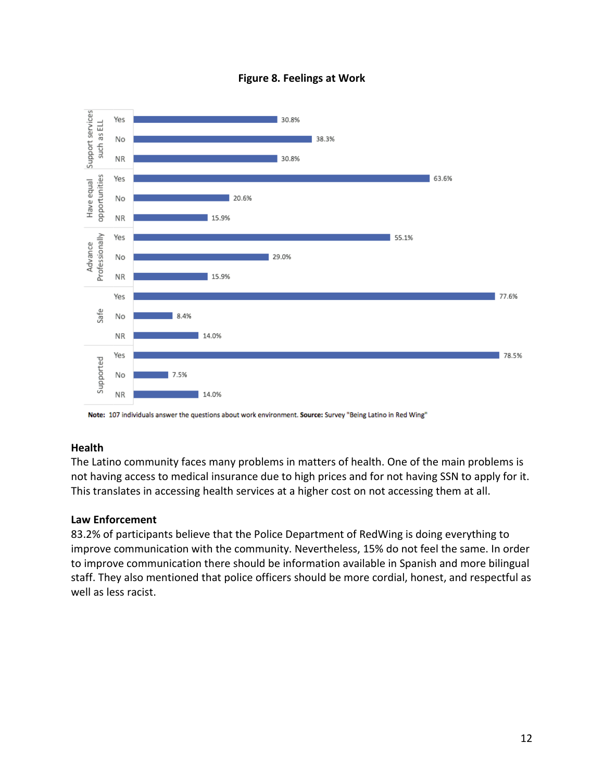



Note: 107 individuals answer the questions about work environment. Source: Survey "Being Latino in Red Wing"

### **Health**

The Latino community faces many problems in matters of health. One of the main problems is not having access to medical insurance due to high prices and for not having SSN to apply for it. This translates in accessing health services at a higher cost on not accessing them at all.

#### **Law Enforcement**

83.2% of participants believe that the Police Department of RedWing is doing everything to improve communication with the community. Nevertheless, 15% do not feel the same. In order to improve communication there should be information available in Spanish and more bilingual staff. They also mentioned that police officers should be more cordial, honest, and respectful as well as less racist.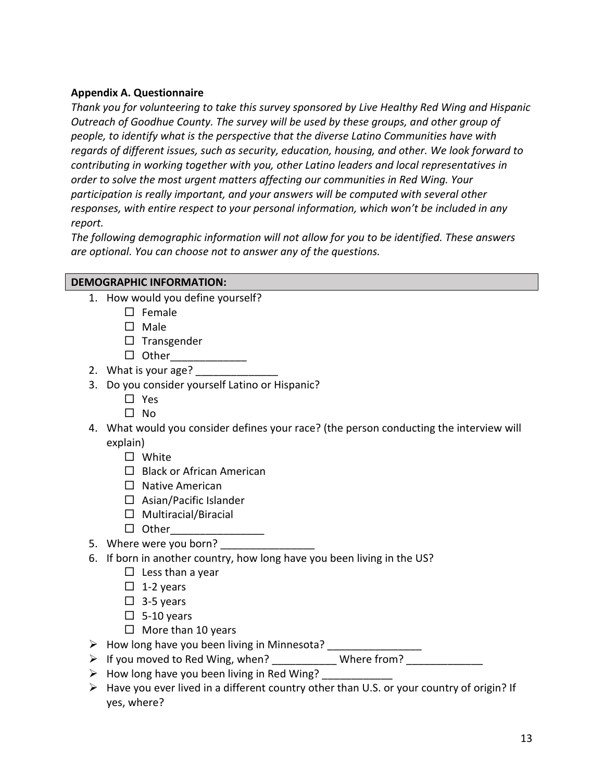### **Appendix A. Questionnaire**

*Thank you for volunteering to take this survey sponsored by Live Healthy Red Wing and Hispanic Outreach of Goodhue County. The survey will be used by these groups, and other group of people, to identify what is the perspective that the diverse Latino Communities have with regards of different issues, such as security, education, housing, and other. We look forward to contributing in working together with you, other Latino leaders and local representatives in order to solve the most urgent matters affecting our communities in Red Wing. Your participation is really important, and your answers will be computed with several other responses, with entire respect to your personal information, which won't be included in any report.*

*The following demographic information will not allow for you to be identified. These answers are optional. You can choose not to answer any of the questions.*

### **DEMOGRAPHIC INFORMATION:**

- 1. How would you define yourself?
	- $\square$  Female
	- $\square$  Male
	- $\square$  Transgender
	- $\Box$  Other
- 2. What is your age?
- 3. Do you consider yourself Latino or Hispanic?
	- □ Yes
	- $\square$  No
- 4. What would you consider defines your race? (the person conducting the interview will explain)
	- □ White
	- $\Box$  Black or African American
	- $\Box$  Native American
	- $\Box$  Asian/Pacific Islander
	- $\Box$  Multiracial/Biracial
	- $\Box$  Other
- 5. Where were you born?
- 6. If born in another country, how long have you been living in the US?
	- $\Box$  Less than a year
	- $\Box$  1-2 years
	- $\Box$  3-5 years
	- $\Box$  5-10 years
	- $\Box$  More than 10 years
- $\triangleright$  How long have you been living in Minnesota?
- If you moved to Red Wing, when? \_\_\_\_\_\_\_\_\_\_\_ Where from? \_\_\_\_\_\_\_\_\_\_\_\_\_
- $\triangleright$  How long have you been living in Red Wing?
- $\triangleright$  Have you ever lived in a different country other than U.S. or your country of origin? If yes, where?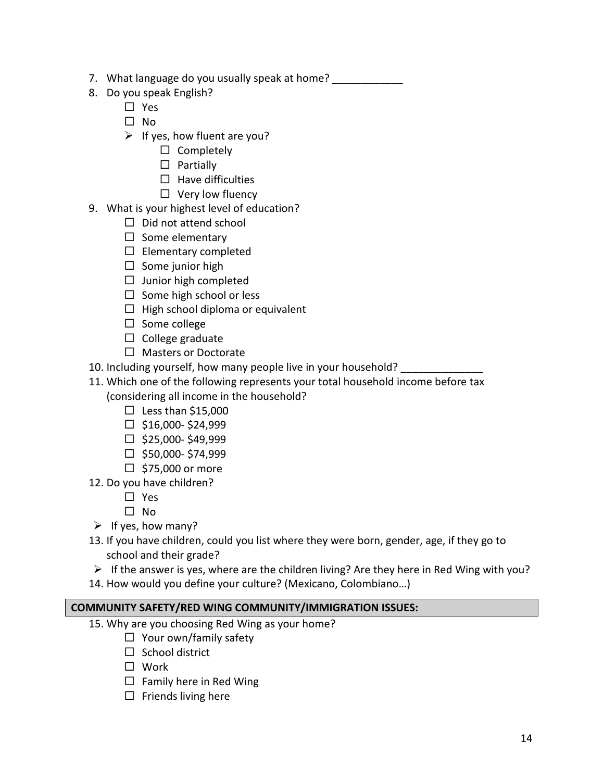- 7. What language do you usually speak at home?
- 8. Do you speak English?
	- □ Yes
	- $\Box$  No
	- $\triangleright$  If yes, how fluent are you?
		- $\square$  Completely
		- $\square$  Partially
		- $\Box$  Have difficulties
		- $\Box$  Very low fluency
- 9. What is your highest level of education?
	- $\square$  Did not attend school
	- $\Box$  Some elementary
	- $\square$  Elementary completed
	- $\square$  Some junior high
	- $\Box$  Junior high completed
	- $\square$  Some high school or less
	- $\Box$  High school diploma or equivalent
	- $\square$  Some college
	- $\Box$  College graduate
	- □ Masters or Doctorate
- 10. Including yourself, how many people live in your household?
- 11. Which one of the following represents your total household income before tax (considering all income in the household?
	- $\square$  Less than \$15,000
	- $\Box$  \$16,000-\$24,999
	- $\Box$  \$25,000-\$49,999
	- $\square$  \$50,000-\$74,999
	- $\Box$  \$75,000 or more
- 12. Do you have children?
	- □ Yes
	- $\Box$  No
- $\triangleright$  If yes, how many?
- 13. If you have children, could you list where they were born, gender, age, if they go to school and their grade?
- $\triangleright$  If the answer is yes, where are the children living? Are they here in Red Wing with you?
- 14. How would you define your culture? (Mexicano, Colombiano…)

# **COMMUNITY SAFETY/RED WING COMMUNITY/IMMIGRATION ISSUES:**

- 15. Why are you choosing Red Wing as your home?
	- $\Box$  Your own/family safety
	- $\Box$  School district
	- □ Work
	- $\Box$  Family here in Red Wing
	- $\Box$  Friends living here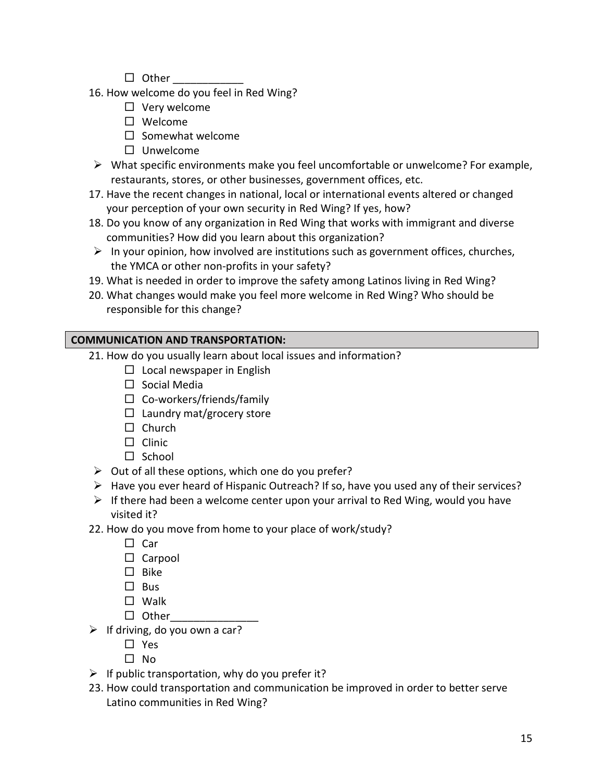- $\Box$  Other
- 16. How welcome do you feel in Red Wing?
	- $\square$  Very welcome
	- Welcome
	- $\square$  Somewhat welcome
	- $\square$  Unwelcome
- $\triangleright$  What specific environments make you feel uncomfortable or unwelcome? For example, restaurants, stores, or other businesses, government offices, etc.
- 17. Have the recent changes in national, local or international events altered or changed your perception of your own security in Red Wing? If yes, how?
- 18. Do you know of any organization in Red Wing that works with immigrant and diverse communities? How did you learn about this organization?
- $\triangleright$  In your opinion, how involved are institutions such as government offices, churches, the YMCA or other non-profits in your safety?
- 19. What is needed in order to improve the safety among Latinos living in Red Wing?
- 20. What changes would make you feel more welcome in Red Wing? Who should be responsible for this change?

# **COMMUNICATION AND TRANSPORTATION:**

- 21. How do you usually learn about local issues and information?
	- $\square$  Local newspaper in English
	- $\square$  Social Media
	- $\square$  Co-workers/friends/family
	- $\Box$  Laundry mat/grocery store
	- $\Box$  Church
	- $\Box$  Clinic
	- $\Box$  School
- $\triangleright$  Out of all these options, which one do you prefer?
- $\triangleright$  Have you ever heard of Hispanic Outreach? If so, have you used any of their services?
- $\triangleright$  If there had been a welcome center upon your arrival to Red Wing, would you have visited it?
- 22. How do you move from home to your place of work/study?
	- $\square$  Car
	- $\Box$  Carpool
	- $\square$  Bike
	- $\square$  Bus
	- Walk
	- $\Box$  Other
- $\triangleright$  If driving, do you own a car?
	- □ Yes
	- $\Box$  No
- $\triangleright$  If public transportation, why do you prefer it?
- 23. How could transportation and communication be improved in order to better serve Latino communities in Red Wing?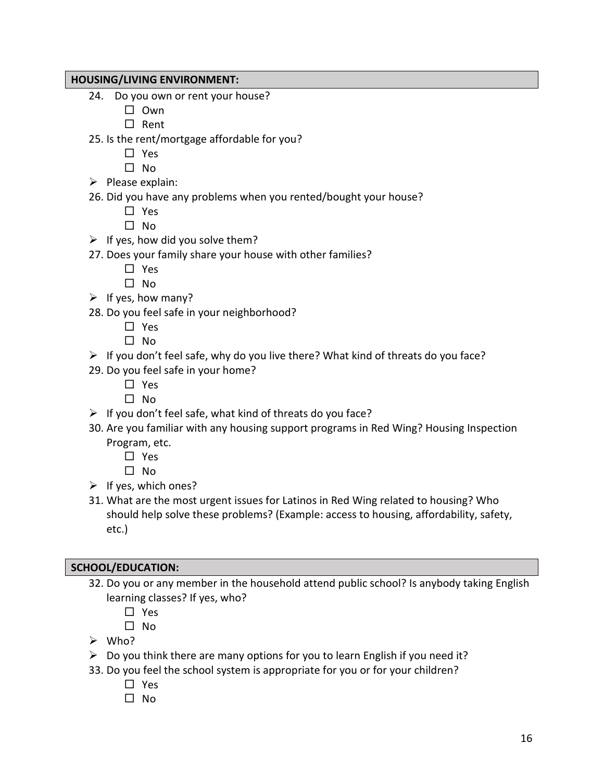### **HOUSING/LIVING ENVIRONMENT:**

- 24. Do you own or rent your house?
	- $\square$  Own
	- $\square$  Rent
- 25. Is the rent/mortgage affordable for you?
	- □ Yes
	- $\Box$  No
- $\triangleright$  Please explain:
- 26. Did you have any problems when you rented/bought your house?
	- □ Yes
	- $\square$  No
- $\triangleright$  If yes, how did you solve them?
- 27. Does your family share your house with other families?
	- □ Yes
	- $\square$  No
- $\triangleright$  If yes, how many?
- 28. Do you feel safe in your neighborhood?
	- □ Yes
	- $\square$  No
- $\triangleright$  If you don't feel safe, why do you live there? What kind of threats do you face?
- 29. Do you feel safe in your home?
	- □ Yes
	- $\Box$  No
- $\triangleright$  If you don't feel safe, what kind of threats do you face?
- 30. Are you familiar with any housing support programs in Red Wing? Housing Inspection Program, etc.
	- □ Yes

 $\square$  No

- $\triangleright$  If yes, which ones?
- 31. What are the most urgent issues for Latinos in Red Wing related to housing? Who should help solve these problems? (Example: access to housing, affordability, safety, etc.)

### **SCHOOL/EDUCATION:**

- 32. Do you or any member in the household attend public school? Is anybody taking English learning classes? If yes, who?
	- □ Yes
	- $\Box$  No
- $\triangleright$  Who?
- $\triangleright$  Do you think there are many options for you to learn English if you need it?
- 33. Do you feel the school system is appropriate for you or for your children?
	- □ Yes
	- $\Box$  No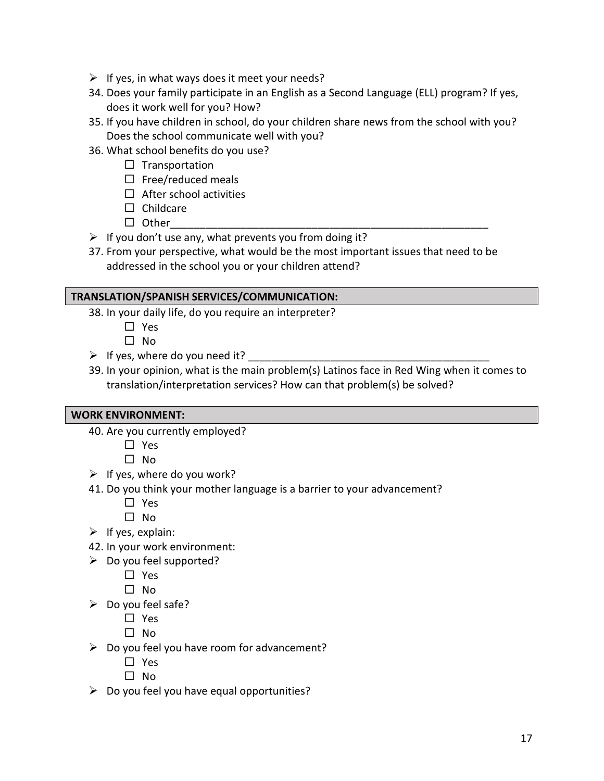- $\triangleright$  If yes, in what ways does it meet your needs?
- 34. Does your family participate in an English as a Second Language (ELL) program? If yes, does it work well for you? How?
- 35. If you have children in school, do your children share news from the school with you? Does the school communicate well with you?
- 36. What school benefits do you use?
	- $\square$  Transportation
	- $\square$  Free/reduced meals
	- $\Box$  After school activities
	- $\Box$  Childcare
	- $\Box$  Other
- $\triangleright$  If you don't use any, what prevents you from doing it?
- 37. From your perspective, what would be the most important issues that need to be addressed in the school you or your children attend?

# **TRANSLATION/SPANISH SERVICES/COMMUNICATION:**

- 38. In your daily life, do you require an interpreter?
	- □ Yes

 $\square$  No

- $\triangleright$  If yes, where do you need it?
- 39. In your opinion, what is the main problem(s) Latinos face in Red Wing when it comes to translation/interpretation services? How can that problem(s) be solved?

# **WORK ENVIRONMENT:**

- 40. Are you currently employed?
	- □ Yes
	- $\square$  No
- $\triangleright$  If yes, where do you work?
- 41. Do you think your mother language is a barrier to your advancement?
	- □ Yes
	- $\Box$  No
- $\triangleright$  If yes, explain:
- 42. In your work environment:
- $\triangleright$  Do you feel supported?
	- □ Yes
	- $\square$  No
- $\triangleright$  Do you feel safe?
	- □ Yes
	- $\Box$  No
- $\triangleright$  Do you feel you have room for advancement?
	- $\Box$  Yes
	- $\Box$  No
- $\triangleright$  Do you feel you have equal opportunities?